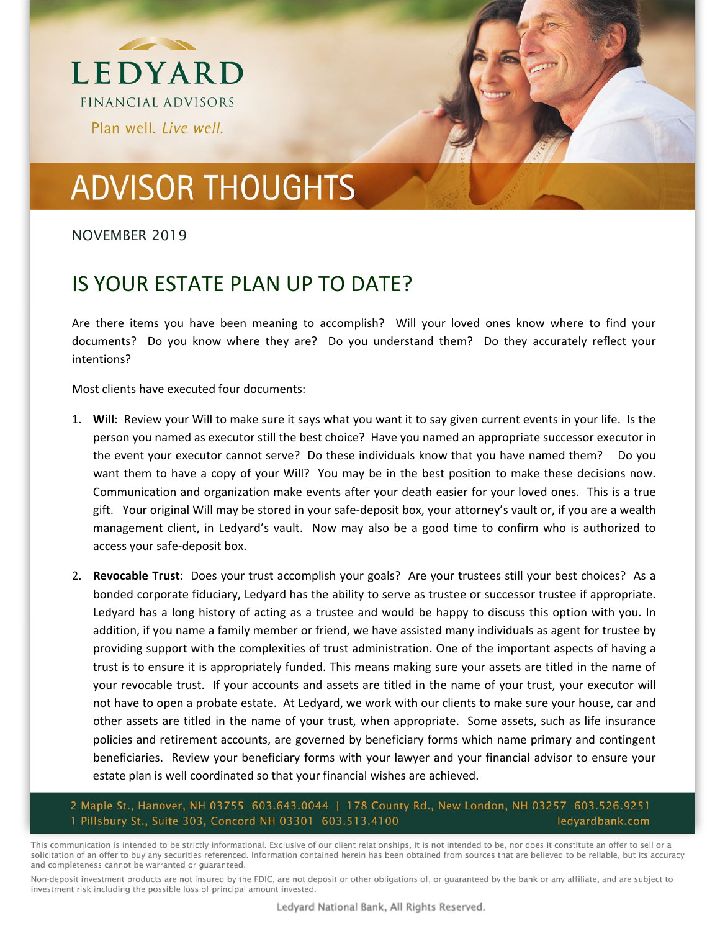

## **ADVISOR THOUGHTS**

## NOVEMBER 2019

## IS YOUR ESTATE PLAN UP TO DATE?

Are there items you have been meaning to accomplish? Will your loved ones know where to find your documents? Do you know where they are? Do you understand them? Do they accurately reflect your intentions?

Most clients have executed four documents:

- 1. **Will**: Review your Will to make sure it says what you want it to say given current events in your life. Is the person you named as executor still the best choice? Have you named an appropriate successor executor in the event your executor cannot serve? Do these individuals know that you have named them? Do you want them to have a copy of your Will? You may be in the best position to make these decisions now. Communication and organization make events after your death easier for your loved ones. This is a true gift. Your original Will may be stored in your safe‐deposit box, your attorney's vault or, if you are a wealth management client, in Ledyard's vault. Now may also be a good time to confirm who is authorized to access your safe‐deposit box.
- 2. **Revocable Trust**: Does your trust accomplish your goals? Are your trustees still your best choices? As a bonded corporate fiduciary, Ledyard has the ability to serve as trustee or successor trustee if appropriate. Ledyard has a long history of acting as a trustee and would be happy to discuss this option with you. In addition, if you name a family member or friend, we have assisted many individuals as agent for trustee by providing support with the complexities of trust administration. One of the important aspects of having a trust is to ensure it is appropriately funded. This means making sure your assets are titled in the name of your revocable trust. If your accounts and assets are titled in the name of your trust, your executor will not have to open a probate estate. At Ledyard, we work with our clients to make sure your house, car and other assets are titled in the name of your trust, when appropriate. Some assets, such as life insurance policies and retirement accounts, are governed by beneficiary forms which name primary and contingent beneficiaries. Review your beneficiary forms with your lawyer and your financial advisor to ensure your estate plan is well coordinated so that your financial wishes are achieved.

2 Maple St., Hanover, NH 03755 603.643.0044 | 178 County Rd., New London, NH 03257 603.526.9251 1 Pillsbury St., Suite 303, Concord NH 03301 603.513.4100 ledyardbank.com

This communication is intended to be strictly informational. Exclusive of our client relationships, it is not intended to be, nor does it constitute an offer to sell or a solicitation of an offer to buy any securities referenced. Information contained herein has been obtained from sources that are believed to be reliable, but its accuracy and completeness cannot be warranted or guaranteed.

Non-deposit investment products are not insured by the FDIC, are not deposit or other obligations of, or guaranteed by the bank or any affiliate, and are subject to investment risk including the possible loss of principal amount invested.

Ledyard National Bank, All Rights Reserved.